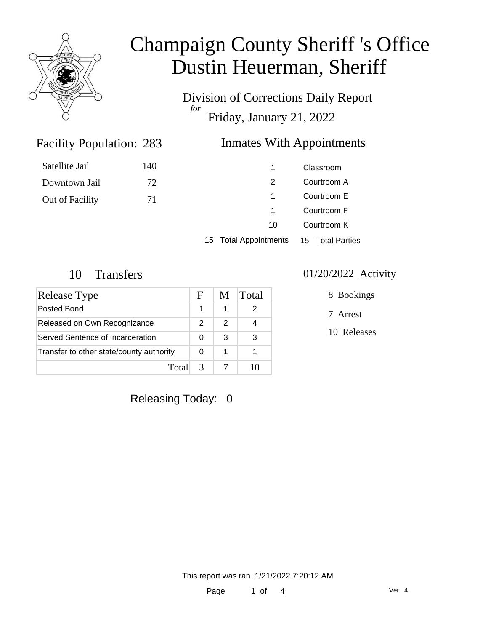

Division of Corrections Daily Report *for* Friday, January 21, 2022

#### Inmates With Appointments

| Satellite Jail  | 140 |    | Classroom   |
|-----------------|-----|----|-------------|
| Downtown Jail   | 72  |    | Courtroom A |
| Out of Facility | 71  |    | Courtroom E |
|                 |     |    | Courtroom F |
|                 |     | 10 | Courtroom K |
|                 |     |    |             |

15 Total Appointments 15 Total Parties

Facility Population: 283

| Release Type                             | F             | M. | Total |
|------------------------------------------|---------------|----|-------|
| Posted Bond                              |               |    |       |
| Released on Own Recognizance             | 2             | 2  |       |
| Served Sentence of Incarceration         |               | 3  | 3     |
| Transfer to other state/county authority |               | 1  |       |
| Total                                    | $\mathcal{R}$ |    |       |

#### 10 Transfers 01/20/2022 Activity

8 Bookings

7 Arrest

10 Releases

Releasing Today: 0

This report was ran 1/21/2022 7:20:12 AM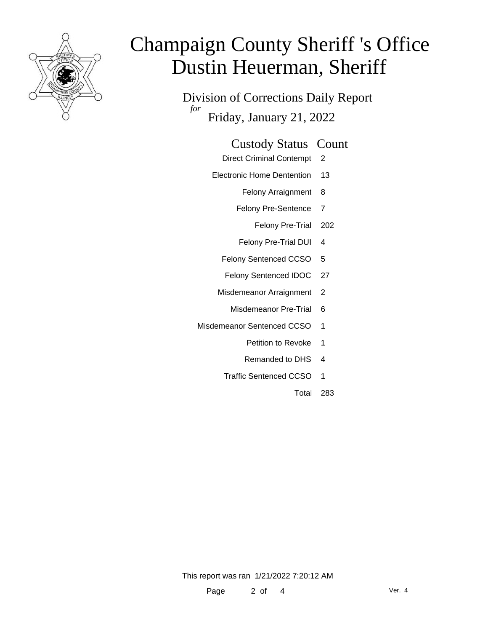

Division of Corrections Daily Report *for* Friday, January 21, 2022

- Direct Criminal Contempt 2
- Electronic Home Dentention 13
	- Felony Arraignment 8
	- Felony Pre-Sentence 7
		- Felony Pre-Trial 202
	- Felony Pre-Trial DUI 4
	- Felony Sentenced CCSO 5
	- Felony Sentenced IDOC 27
	- Misdemeanor Arraignment 2
		- Misdemeanor Pre-Trial 6
- Misdemeanor Sentenced CCSO 1
	- Petition to Revoke 1
	- Remanded to DHS 4
	- Traffic Sentenced CCSO 1
		- Total 283

This report was ran 1/21/2022 7:20:12 AM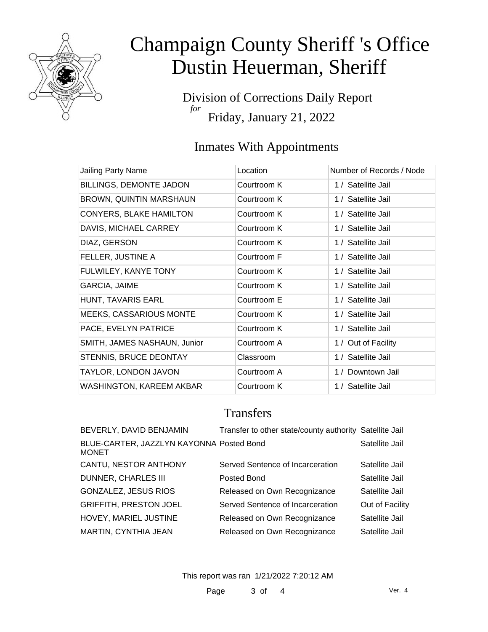

Division of Corrections Daily Report *for* Friday, January 21, 2022

### Inmates With Appointments

| Jailing Party Name              | Location    | Number of Records / Node |
|---------------------------------|-------------|--------------------------|
| BILLINGS, DEMONTE JADON         | Courtroom K | 1 / Satellite Jail       |
| <b>BROWN, QUINTIN MARSHAUN</b>  | Courtroom K | 1 / Satellite Jail       |
| <b>CONYERS, BLAKE HAMILTON</b>  | Courtroom K | 1 / Satellite Jail       |
| DAVIS, MICHAEL CARREY           | Courtroom K | 1 / Satellite Jail       |
| DIAZ, GERSON                    | Courtroom K | 1 / Satellite Jail       |
| FELLER, JUSTINE A               | Courtroom F | 1 / Satellite Jail       |
| FULWILEY, KANYE TONY            | Courtroom K | 1 / Satellite Jail       |
| GARCIA, JAIME                   | Courtroom K | 1 / Satellite Jail       |
| HUNT, TAVARIS EARL              | Courtroom E | 1 / Satellite Jail       |
| <b>MEEKS, CASSARIOUS MONTE</b>  | Courtroom K | 1 / Satellite Jail       |
| PACE, EVELYN PATRICE            | Courtroom K | 1 / Satellite Jail       |
| SMITH, JAMES NASHAUN, Junior    | Courtroom A | 1 / Out of Facility      |
| STENNIS, BRUCE DEONTAY          | Classroom   | 1 / Satellite Jail       |
| TAYLOR, LONDON JAVON            | Courtroom A | 1 / Downtown Jail        |
| <b>WASHINGTON, KAREEM AKBAR</b> | Courtroom K | 1 / Satellite Jail       |

### **Transfers**

| BEVERLY, DAVID BENJAMIN                                  | Transfer to other state/county authority Satellite Jail |                 |
|----------------------------------------------------------|---------------------------------------------------------|-----------------|
| BLUE-CARTER, JAZZLYN KAYONNA Posted Bond<br><b>MONET</b> |                                                         | Satellite Jail  |
| CANTU, NESTOR ANTHONY                                    | Served Sentence of Incarceration                        | Satellite Jail  |
| <b>DUNNER, CHARLES III</b>                               | Posted Bond                                             | Satellite Jail  |
| GONZALEZ, JESUS RIOS                                     | Released on Own Recognizance                            | Satellite Jail  |
| <b>GRIFFITH, PRESTON JOEL</b>                            | Served Sentence of Incarceration                        | Out of Facility |
| HOVEY, MARIEL JUSTINE                                    | Released on Own Recognizance                            | Satellite Jail  |
| MARTIN, CYNTHIA JEAN                                     | Released on Own Recognizance                            | Satellite Jail  |